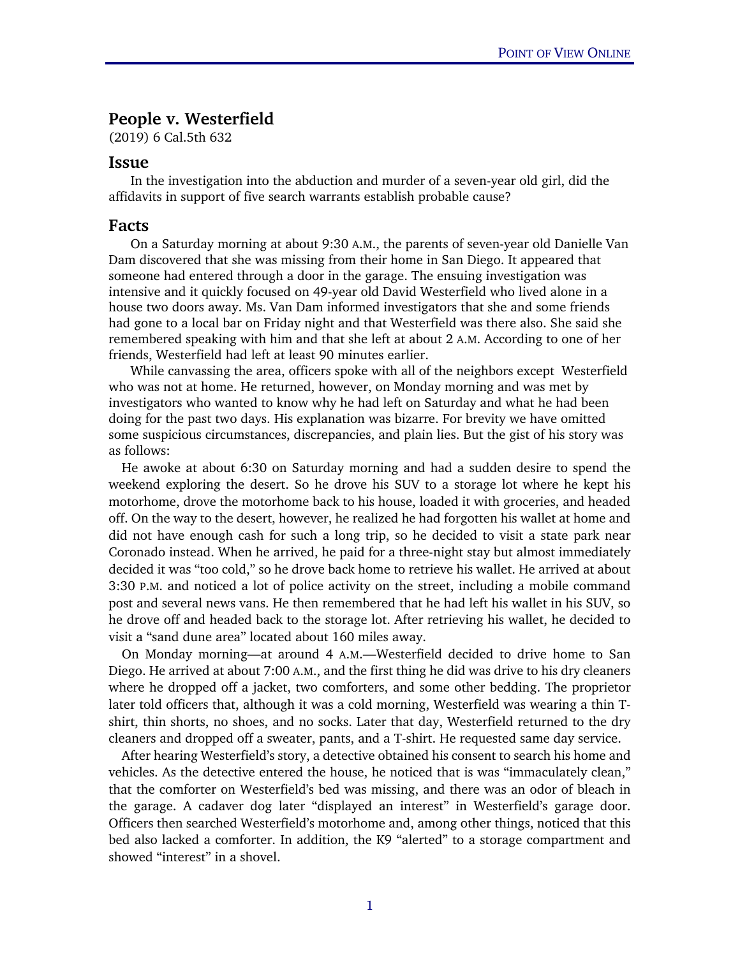## People v. Westerfield

(2019) 6 Cal.5th 632

## Issue

 In the investigation into the abduction and murder of a seven-year old girl, did the affidavits in support of five search warrants establish probable cause?

## Facts

 On a Saturday morning at about 9:30 A.M., the parents of seven-year old Danielle Van Dam discovered that she was missing from their home in San Diego. It appeared that someone had entered through a door in the garage. The ensuing investigation was intensive and it quickly focused on 49-year old David Westerfield who lived alone in a house two doors away. Ms. Van Dam informed investigators that she and some friends had gone to a local bar on Friday night and that Westerfield was there also. She said she remembered speaking with him and that she left at about 2 A.M. According to one of her friends, Westerfield had left at least 90 minutes earlier.

 While canvassing the area, officers spoke with all of the neighbors except Westerfield who was not at home. He returned, however, on Monday morning and was met by investigators who wanted to know why he had left on Saturday and what he had been doing for the past two days. His explanation was bizarre. For brevity we have omitted some suspicious circumstances, discrepancies, and plain lies. But the gist of his story was as follows:

He awoke at about 6:30 on Saturday morning and had a sudden desire to spend the weekend exploring the desert. So he drove his SUV to a storage lot where he kept his motorhome, drove the motorhome back to his house, loaded it with groceries, and headed off. On the way to the desert, however, he realized he had forgotten his wallet at home and did not have enough cash for such a long trip, so he decided to visit a state park near Coronado instead. When he arrived, he paid for a three-night stay but almost immediately decided it was "too cold," so he drove back home to retrieve his wallet. He arrived at about 3:30 P.M. and noticed a lot of police activity on the street, including a mobile command post and several news vans. He then remembered that he had left his wallet in his SUV, so he drove off and headed back to the storage lot. After retrieving his wallet, he decided to visit a "sand dune area" located about 160 miles away.

On Monday morning—at around 4 A.M.—Westerfield decided to drive home to San Diego. He arrived at about 7:00 A.M., and the first thing he did was drive to his dry cleaners where he dropped off a jacket, two comforters, and some other bedding. The proprietor later told officers that, although it was a cold morning, Westerfield was wearing a thin Tshirt, thin shorts, no shoes, and no socks. Later that day, Westerfield returned to the dry cleaners and dropped off a sweater, pants, and a T-shirt. He requested same day service.

After hearing Westerfield's story, a detective obtained his consent to search his home and vehicles. As the detective entered the house, he noticed that is was "immaculately clean," that the comforter on Westerfield's bed was missing, and there was an odor of bleach in the garage. A cadaver dog later "displayed an interest" in Westerfield's garage door. Officers then searched Westerfield's motorhome and, among other things, noticed that this bed also lacked a comforter. In addition, the K9 "alerted" to a storage compartment and showed "interest" in a shovel.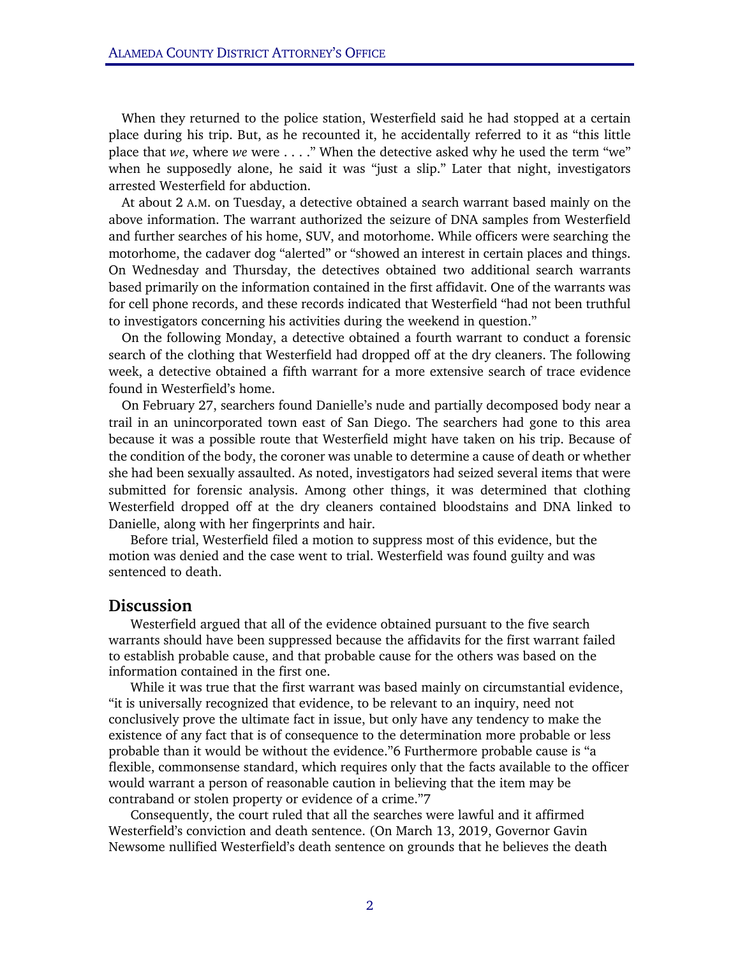When they returned to the police station, Westerfield said he had stopped at a certain place during his trip. But, as he recounted it, he accidentally referred to it as "this little place that *we*, where *we* were . . . ." When the detective asked why he used the term "we" when he supposedly alone, he said it was "just a slip." Later that night, investigators arrested Westerfield for abduction.

At about 2 A.M. on Tuesday, a detective obtained a search warrant based mainly on the above information. The warrant authorized the seizure of DNA samples from Westerfield and further searches of his home, SUV, and motorhome. While officers were searching the motorhome, the cadaver dog "alerted" or "showed an interest in certain places and things. On Wednesday and Thursday, the detectives obtained two additional search warrants based primarily on the information contained in the first affidavit. One of the warrants was for cell phone records, and these records indicated that Westerfield "had not been truthful to investigators concerning his activities during the weekend in question."

On the following Monday, a detective obtained a fourth warrant to conduct a forensic search of the clothing that Westerfield had dropped off at the dry cleaners. The following week, a detective obtained a fifth warrant for a more extensive search of trace evidence found in Westerfield's home.

On February 27, searchers found Danielle's nude and partially decomposed body near a trail in an unincorporated town east of San Diego. The searchers had gone to this area because it was a possible route that Westerfield might have taken on his trip. Because of the condition of the body, the coroner was unable to determine a cause of death or whether she had been sexually assaulted. As noted, investigators had seized several items that were submitted for forensic analysis. Among other things, it was determined that clothing Westerfield dropped off at the dry cleaners contained bloodstains and DNA linked to Danielle, along with her fingerprints and hair.

Before trial, Westerfield filed a motion to suppress most of this evidence, but the motion was denied and the case went to trial. Westerfield was found guilty and was sentenced to death.

## Discussion

Westerfield argued that all of the evidence obtained pursuant to the five search warrants should have been suppressed because the affidavits for the first warrant failed to establish probable cause, and that probable cause for the others was based on the information contained in the first one.

While it was true that the first warrant was based mainly on circumstantial evidence, "it is universally recognized that evidence, to be relevant to an inquiry, need not conclusively prove the ultimate fact in issue, but only have any tendency to make the existence of any fact that is of consequence to the determination more probable or less probable than it would be without the evidence."6 Furthermore probable cause is "a flexible, commonsense standard, which requires only that the facts available to the officer would warrant a person of reasonable caution in believing that the item may be contraband or stolen property or evidence of a crime."7

Consequently, the court ruled that all the searches were lawful and it affirmed Westerfield's conviction and death sentence. (On March 13, 2019, Governor Gavin Newsome nullified Westerfield's death sentence on grounds that he believes the death